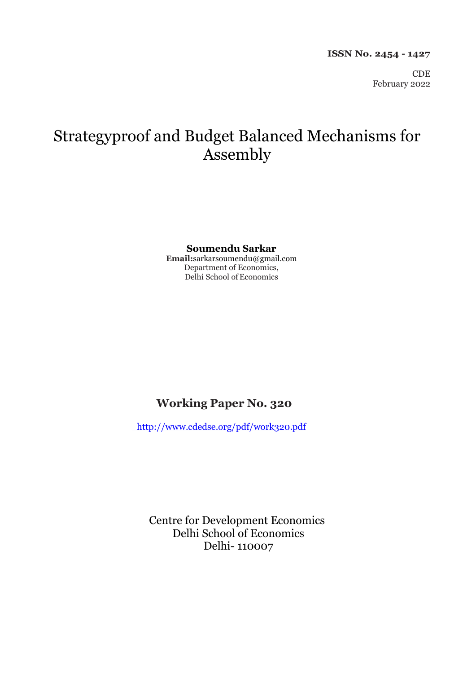CDE February 2022

# Strategyproof and Budget Balanced Mechanisms for Assembly

#### **Soumendu Sarkar**

**Email:**sarkarsoumendu@gmail.com Department of Economics, Delhi School of Economics

# **Working Paper No. 320**

<http://www.cdedse.org/pdf/work320.pdf>

Centre for Development Economics Delhi School of Economics Delhi- 110007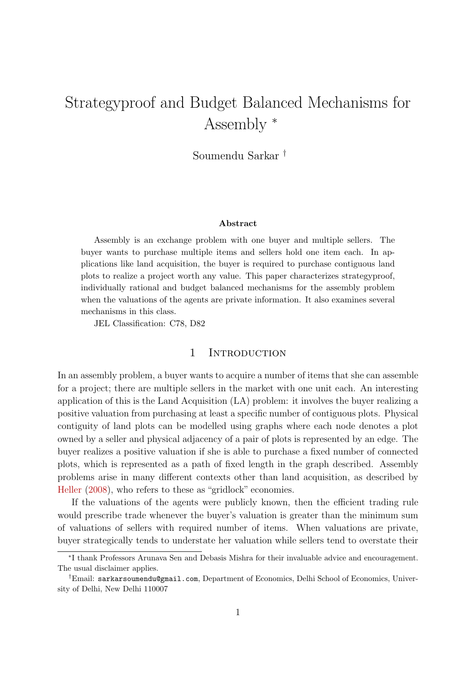# Strategyproof and Budget Balanced Mechanisms for Assembly <sup>∗</sup>

Soumendu Sarkar †

#### Abstract

Assembly is an exchange problem with one buyer and multiple sellers. The buyer wants to purchase multiple items and sellers hold one item each. In applications like land acquisition, the buyer is required to purchase contiguous land plots to realize a project worth any value. This paper characterizes strategyproof, individually rational and budget balanced mechanisms for the assembly problem when the valuations of the agents are private information. It also examines several mechanisms in this class.

JEL Classification: C78, D82

#### 1 INTRODUCTION

In an assembly problem, a buyer wants to acquire a number of items that she can assemble for a project; there are multiple sellers in the market with one unit each. An interesting application of this is the Land Acquisition (LA) problem: it involves the buyer realizing a positive valuation from purchasing at least a specific number of contiguous plots. Physical contiguity of land plots can be modelled using graphs where each node denotes a plot owned by a seller and physical adjacency of a pair of plots is represented by an edge. The buyer realizes a positive valuation if she is able to purchase a fixed number of connected plots, which is represented as a path of fixed length in the graph described. Assembly problems arise in many different contexts other than land acquisition, as described by [Heller](#page-14-0) [\(2008\)](#page-14-0), who refers to these as "gridlock" economies.

If the valuations of the agents were publicly known, then the efficient trading rule would prescribe trade whenever the buyer's valuation is greater than the minimum sum of valuations of sellers with required number of items. When valuations are private, buyer strategically tends to understate her valuation while sellers tend to overstate their

<sup>∗</sup> I thank Professors Arunava Sen and Debasis Mishra for their invaluable advice and encouragement. The usual disclaimer applies.

<sup>†</sup>Email: sarkarsoumendu@gmail.com, Department of Economics, Delhi School of Economics, University of Delhi, New Delhi 110007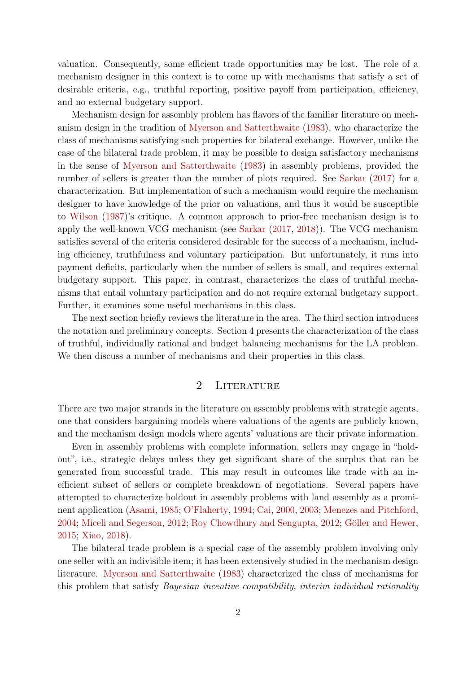valuation. Consequently, some efficient trade opportunities may be lost. The role of a mechanism designer in this context is to come up with mechanisms that satisfy a set of desirable criteria, e.g., truthful reporting, positive payoff from participation, efficiency, and no external budgetary support.

Mechanism design for assembly problem has flavors of the familiar literature on mechanism design in the tradition of [Myerson and Satterthwaite](#page-14-1) [\(1983\)](#page-14-1), who characterize the class of mechanisms satisfying such properties for bilateral exchange. However, unlike the case of the bilateral trade problem, it may be possible to design satisfactory mechanisms in the sense of [Myerson and Satterthwaite](#page-14-1) [\(1983\)](#page-14-1) in assembly problems, provided the number of sellers is greater than the number of plots required. See [Sarkar](#page-15-0)  $(2017)$  for a characterization. But implementation of such a mechanism would require the mechanism designer to have knowledge of the prior on valuations, and thus it would be susceptible to [Wilson](#page-15-1) [\(1987\)](#page-15-1)'s critique. A common approach to prior-free mechanism design is to apply the well-known VCG mechanism (see [Sarkar](#page-15-0) [\(2017,](#page-15-0) [2018\)](#page-15-2)). The VCG mechanism satisfies several of the criteria considered desirable for the success of a mechanism, including efficiency, truthfulness and voluntary participation. But unfortunately, it runs into payment deficits, particularly when the number of sellers is small, and requires external budgetary support. This paper, in contrast, characterizes the class of truthful mechanisms that entail voluntary participation and do not require external budgetary support. Further, it examines some useful mechanisms in this class.

The next section briefly reviews the literature in the area. The third section introduces the notation and preliminary concepts. Section 4 presents the characterization of the class of truthful, individually rational and budget balancing mechanisms for the LA problem. We then discuss a number of mechanisms and their properties in this class.

## 2 LITERATURE

There are two major strands in the literature on assembly problems with strategic agents, one that considers bargaining models where valuations of the agents are publicly known, and the mechanism design models where agents' valuations are their private information.

Even in assembly problems with complete information, sellers may engage in "holdout", i.e., strategic delays unless they get significant share of the surplus that can be generated from successful trade. This may result in outcomes like trade with an inefficient subset of sellers or complete breakdown of negotiations. Several papers have attempted to characterize holdout in assembly problems with land assembly as a prominent application [\(Asami,](#page-13-0) [1985;](#page-13-0) [O'Flaherty,](#page-15-3) [1994;](#page-15-3) [Cai,](#page-13-1) [2000,](#page-13-1) [2003;](#page-13-2) [Menezes and Pitchford,](#page-14-2) [2004;](#page-14-2) [Miceli and Segerson,](#page-14-3) [2012;](#page-15-4) [Roy Chowdhury and Sengupta,](#page-15-4) 2012; Göller and Hewer, [2015;](#page-13-3) [Xiao,](#page-15-5) [2018\)](#page-15-5).

The bilateral trade problem is a special case of the assembly problem involving only one seller with an indivisible item; it has been extensively studied in the mechanism design literature. [Myerson and Satterthwaite](#page-14-1) [\(1983\)](#page-14-1) characterized the class of mechanisms for this problem that satisfy Bayesian incentive compatibility, interim individual rationality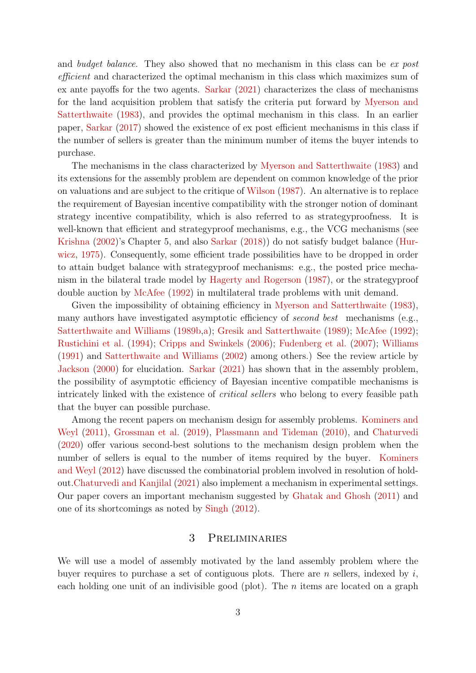and budget balance. They also showed that no mechanism in this class can be ex post efficient and characterized the optimal mechanism in this class which maximizes sum of ex ante payoffs for the two agents. [Sarkar](#page-15-6) [\(2021\)](#page-15-6) characterizes the class of mechanisms for the land acquisition problem that satisfy the criteria put forward by [Myerson and](#page-14-1) [Satterthwaite](#page-14-1) [\(1983\)](#page-14-1), and provides the optimal mechanism in this class. In an earlier paper, [Sarkar](#page-15-0) [\(2017\)](#page-15-0) showed the existence of ex post efficient mechanisms in this class if the number of sellers is greater than the minimum number of items the buyer intends to purchase.

The mechanisms in the class characterized by [Myerson and Satterthwaite](#page-14-1) [\(1983\)](#page-14-1) and its extensions for the assembly problem are dependent on common knowledge of the prior on valuations and are subject to the critique of [Wilson](#page-15-1) [\(1987\)](#page-15-1). An alternative is to replace the requirement of Bayesian incentive compatibility with the stronger notion of dominant strategy incentive compatibility, which is also referred to as strategyproofness. It is well-known that efficient and strategyproof mechanisms, e.g., the VCG mechanisms (see [Krishna](#page-14-4) [\(2002\)](#page-14-4)'s Chapter 5, and also [Sarkar](#page-15-2) [\(2018\)](#page-15-2)) do not satisfy budget balance [\(Hur](#page-14-5)[wicz,](#page-14-5) [1975\)](#page-14-5). Consequently, some efficient trade possibilities have to be dropped in order to attain budget balance with strategyproof mechanisms: e.g., the posted price mechanism in the bilateral trade model by [Hagerty and Rogerson](#page-14-6) [\(1987\)](#page-14-6), or the strategyproof double auction by [McAfee](#page-14-7) [\(1992\)](#page-14-7) in multilateral trade problems with unit demand.

Given the impossibility of obtaining efficiency in [Myerson and Satterthwaite](#page-14-1) [\(1983\)](#page-14-1), many authors have investigated asymptotic efficiency of *second best* mechanisms (e.g., [Satterthwaite and Williams](#page-15-7) [\(1989b,](#page-15-7)[a\)](#page-15-8); [Gresik and Satterthwaite](#page-14-8) [\(1989\)](#page-14-8); [McAfee](#page-14-7) [\(1992\)](#page-14-7); [Rustichini et al.](#page-15-9) [\(1994\)](#page-15-9); [Cripps and Swinkels](#page-13-4) [\(2006\)](#page-13-4); [Fudenberg et al.](#page-13-5) [\(2007\)](#page-13-5); [Williams](#page-15-10) [\(1991\)](#page-15-10) and [Satterthwaite and Williams](#page-15-11) [\(2002\)](#page-15-11) among others.) See the review article by [Jackson](#page-14-9) [\(2000\)](#page-14-9) for elucidation. [Sarkar](#page-15-6) [\(2021\)](#page-15-6) has shown that in the assembly problem, the possibility of asymptotic efficiency of Bayesian incentive compatible mechanisms is intricately linked with the existence of *critical sellers* who belong to every feasible path that the buyer can possible purchase.

Among the recent papers on mechanism design for assembly problems. [Kominers and](#page-14-10) [Weyl](#page-14-10) [\(2011\)](#page-14-10), [Grossman et al.](#page-14-11) [\(2019\)](#page-14-11), [Plassmann and Tideman](#page-15-12) [\(2010\)](#page-15-12), and [Chaturvedi](#page-13-6) [\(2020\)](#page-13-6) offer various second-best solutions to the mechanism design problem when the number of sellers is equal to the number of items required by the buyer. [Kominers](#page-14-12) [and Weyl](#page-14-12) [\(2012\)](#page-14-12) have discussed the combinatorial problem involved in resolution of holdout[.Chaturvedi and Kanjilal](#page-13-7) [\(2021\)](#page-13-7) also implement a mechanism in experimental settings. Our paper covers an important mechanism suggested by [Ghatak and Ghosh](#page-13-8) [\(2011\)](#page-13-8) and one of its shortcomings as noted by [Singh](#page-15-13) [\(2012\)](#page-15-13).

#### 3 Preliminaries

We will use a model of assembly motivated by the land assembly problem where the buyer requires to purchase a set of contiguous plots. There are  $n$  sellers, indexed by  $i$ , each holding one unit of an indivisible good (plot). The  $n$  items are located on a graph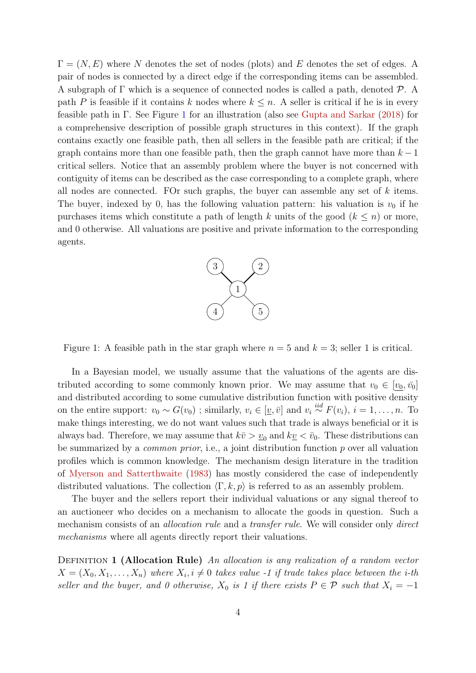$\Gamma = (N, E)$  where N denotes the set of nodes (plots) and E denotes the set of edges. A pair of nodes is connected by a direct edge if the corresponding items can be assembled. A subgraph of Γ which is a sequence of connected nodes is called a path, denoted P. A path P is feasible if it contains k nodes where  $k \leq n$ . A seller is critical if he is in every feasible path in Γ. See Figure [1](#page-4-0) for an illustration (also see [Gupta and Sarkar](#page-14-13) [\(2018\)](#page-14-13) for a comprehensive description of possible graph structures in this context). If the graph contains exactly one feasible path, then all sellers in the feasible path are critical; if the graph contains more than one feasible path, then the graph cannot have more than  $k-1$ critical sellers. Notice that an assembly problem where the buyer is not concerned with contiguity of items can be described as the case corresponding to a complete graph, where all nodes are connected. FOr such graphs, the buyer can assemble any set of k items. The buyer, indexed by 0, has the following valuation pattern: his valuation is  $v_0$  if he purchases items which constitute a path of length k units of the good  $(k \leq n)$  or more, and 0 otherwise. All valuations are positive and private information to the corresponding agents.



<span id="page-4-0"></span>Figure 1: A feasible path in the star graph where  $n = 5$  and  $k = 3$ ; seller 1 is critical.

In a Bayesian model, we usually assume that the valuations of the agents are distributed according to some commonly known prior. We may assume that  $v_0 \in [v_0, \bar{v_0}]$ and distributed according to some cumulative distribution function with positive density on the entire support:  $v_0 \sim G(v_0)$ ; similarly,  $v_i \in [\underline{v}, \overline{v}]$  and  $v_i \stackrel{iid}{\sim} F(v_i)$ ,  $i = 1, ..., n$ . To make things interesting, we do not want values such that trade is always beneficial or it is always bad. Therefore, we may assume that  $k\bar{v} > v_0$  and  $k\bar{v} < \bar{v}_0$ . These distributions can be summarized by a *common prior*, i.e., a joint distribution function  $p$  over all valuation profiles which is common knowledge. The mechanism design literature in the tradition of [Myerson and Satterthwaite](#page-14-1) [\(1983\)](#page-14-1) has mostly considered the case of independently distributed valuations. The collection  $\langle \Gamma, k, p \rangle$  is referred to as an assembly problem.

The buyer and the sellers report their individual valuations or any signal thereof to an auctioneer who decides on a mechanism to allocate the goods in question. Such a mechanism consists of an *allocation rule* and a *transfer rule*. We will consider only *direct* mechanisms where all agents directly report their valuations.

DEFINITION 1 (Allocation Rule) An allocation is any realization of a random vector  $X = (X_0, X_1, \ldots, X_n)$  where  $X_i, i \neq 0$  takes value -1 if trade takes place between the *i*-th seller and the buyer, and 0 otherwise,  $X_0$  is 1 if there exists  $P \in \mathcal{P}$  such that  $X_i = -1$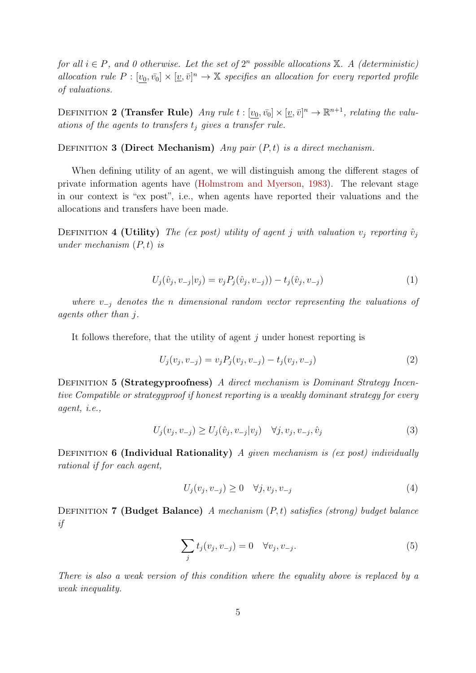for all  $i \in P$ , and 0 otherwise. Let the set of  $2^n$  possible allocations  $\mathbb{X}$ . A (deterministic) allocation rule  $P: [\underline{v_0}, \overline{v_0}] \times [\underline{v}, \overline{v}]^n \to \mathbb{X}$  specifies an allocation for every reported profile of valuations.

DEFINITION 2 (Transfer Rule) Any rule  $t : [v_0, \bar{v_0}] \times [\underline{v}, \bar{v}]^n \to \mathbb{R}^{n+1}$ , relating the valuations of the agents to transfers  $t_i$  gives a transfer rule.

DEFINITION 3 (Direct Mechanism) Any pair  $(P, t)$  is a direct mechanism.

When defining utility of an agent, we will distinguish among the different stages of private information agents have [\(Holmstrom and Myerson,](#page-14-14) [1983\)](#page-14-14). The relevant stage in our context is "ex post", i.e., when agents have reported their valuations and the allocations and transfers have been made.

DEFINITION 4 (Utility) The (ex post) utility of agent j with valuation  $v_i$  reporting  $\hat{v}_i$ under mechanism  $(P, t)$  is

<span id="page-5-0"></span>
$$
U_j(\hat{v}_j, v_{-j}|v_j) = v_j P_j(\hat{v}_j, v_{-j})) - t_j(\hat{v}_j, v_{-j})
$$
\n(1)

where  $v_{-i}$  denotes the n dimensional random vector representing the valuations of agents other than j.

It follows therefore, that the utility of agent  $j$  under honest reporting is

$$
U_j(v_j, v_{-j}) = v_j P_j(v_j, v_{-j}) - t_j(v_j, v_{-j})
$$
\n(2)

DEFINITION 5 (Strategyproofness) A direct mechanism is Dominant Strategy Incentive Compatible or strategyproof if honest reporting is a weakly dominant strategy for every agent, i.e.,

$$
U_j(v_j, v_{-j}) \ge U_j(\hat{v}_j, v_{-j}|v_j) \quad \forall j, v_j, v_{-j}, \hat{v}_j
$$
\n(3)

DEFINITION 6 (Individual Rationality) A given mechanism is (ex post) individually rational if for each agent,

$$
U_j(v_j, v_{-j}) \ge 0 \quad \forall j, v_j, v_{-j} \tag{4}
$$

DEFINITION 7 (Budget Balance) A mechanism  $(P, t)$  satisfies (strong) budget balance if

$$
\sum_{j} t_j(v_j, v_{-j}) = 0 \quad \forall v_j, v_{-j}.
$$
\n
$$
(5)
$$

There is also a weak version of this condition where the equality above is replaced by a weak inequality.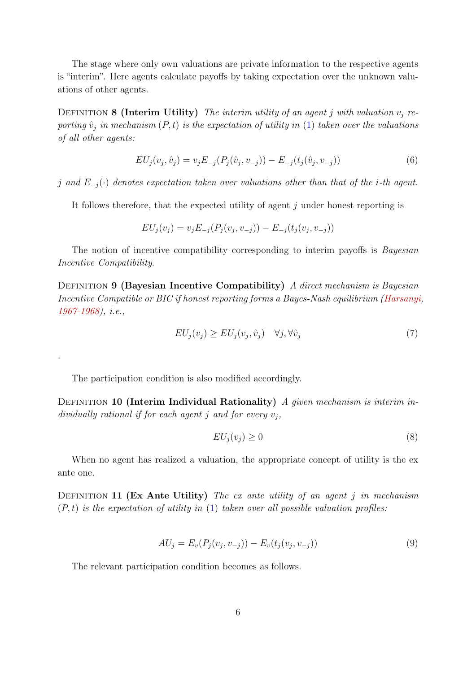The stage where only own valuations are private information to the respective agents is "interim". Here agents calculate payoffs by taking expectation over the unknown valuations of other agents.

DEFINITION 8 (Interim Utility) The interim utility of an agent j with valuation  $v_i$  reporting  $\hat{v}_i$  in mechanism  $(P, t)$  is the expectation of utility in [\(1\)](#page-5-0) taken over the valuations of all other agents:

$$
EU_j(v_j, \hat{v}_j) = v_j E_{-j}(P_j(\hat{v}_j, v_{-j})) - E_{-j}(t_j(\hat{v}_j, v_{-j}))
$$
\n(6)

j and  $E_{-i}(\cdot)$  denotes expectation taken over valuations other than that of the i-th agent.

It follows therefore, that the expected utility of agent  $j$  under honest reporting is

$$
EU_j(v_j) = v_j E_{-j}(P_j(v_j, v_{-j})) - E_{-j}(t_j(v_j, v_{-j}))
$$

The notion of incentive compatibility corresponding to interim payoffs is *Bayesian* Incentive Compatibility.

DEFINITION 9 (Bayesian Incentive Compatibility) A direct mechanism is Bayesian Incentive Compatible or BIC if honest reporting forms a Bayes-Nash equilibrium [\(Harsanyi,](#page-14-15) [1967-1968\)](#page-14-15), i.e.,

$$
EU_j(v_j) \ge EU_j(v_j, \hat{v}_j) \quad \forall j, \forall \hat{v}_j \tag{7}
$$

The participation condition is also modified accordingly.

.

DEFINITION 10 (Interim Individual Rationality) A given mechanism is interim individually rational if for each agent j and for every  $v_i$ ,

$$
EU_j(v_j) \ge 0 \tag{8}
$$

When no agent has realized a valuation, the appropriate concept of utility is the ex ante one.

DEFINITION 11 (Ex Ante Utility) The ex ante utility of an agent j in mechanism  $(P, t)$  is the expectation of utility in [\(1\)](#page-5-0) taken over all possible valuation profiles:

$$
AU_j = E_v(P_j(v_j, v_{-j})) - E_v(t_j(v_j, v_{-j}))
$$
\n(9)

The relevant participation condition becomes as follows.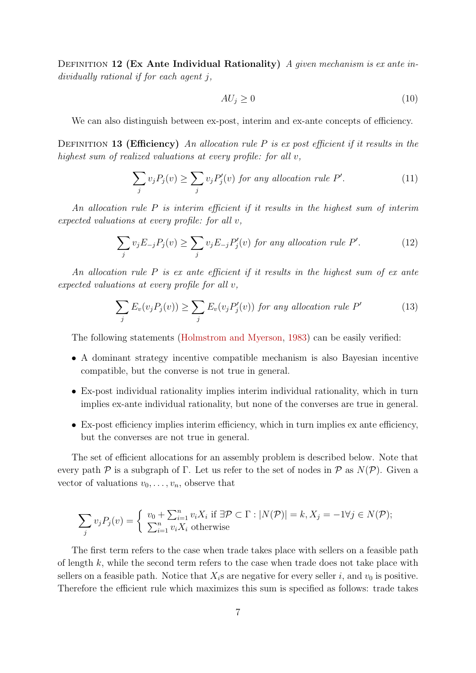DEFINITION 12 (Ex Ante Individual Rationality) A given mechanism is ex ante individually rational if for each agent j,

$$
AU_j \ge 0\tag{10}
$$

We can also distinguish between ex-post, interim and ex-ante concepts of efficiency.

DEFINITION 13 (Efficiency) An allocation rule P is ex post efficient if it results in the highest sum of realized valuations at every profile: for all v,

$$
\sum_{j} v_{j} P_{j}(v) \ge \sum_{j} v_{j} P'_{j}(v) \text{ for any allocation rule } P'. \tag{11}
$$

An allocation rule  $P$  is interim efficient if it results in the highest sum of interim expected valuations at every profile: for all v,

$$
\sum_{j} v_j E_{-j} P_j(v) \ge \sum_{j} v_j E_{-j} P'_j(v) \text{ for any allocation rule } P'. \tag{12}
$$

An allocation rule  $P$  is ex ante efficient if it results in the highest sum of ex ante expected valuations at every profile for all v,

$$
\sum_{j} E_{v}(v_{j}P_{j}(v)) \ge \sum_{j} E_{v}(v_{j}P'_{j}(v)) \text{ for any allocation rule } P' \tag{13}
$$

The following statements [\(Holmstrom and Myerson,](#page-14-14) [1983\)](#page-14-14) can be easily verified:

- A dominant strategy incentive compatible mechanism is also Bayesian incentive compatible, but the converse is not true in general.
- Ex-post individual rationality implies interim individual rationality, which in turn implies ex-ante individual rationality, but none of the converses are true in general.
- Ex-post efficiency implies interim efficiency, which in turn implies ex ante efficiency, but the converses are not true in general.

The set of efficient allocations for an assembly problem is described below. Note that every path  $P$  is a subgraph of Γ. Let us refer to the set of nodes in  $P$  as  $N(P)$ . Given a vector of valuations  $v_0, \ldots, v_n$ , observe that

$$
\sum_{j} v_j P_j(v) = \begin{cases} v_0 + \sum_{i=1}^n v_i X_i \text{ if } \exists \mathcal{P} \subset \Gamma : |N(\mathcal{P})| = k, X_j = -1 \forall j \in N(\mathcal{P});\\ \sum_{i=1}^n v_i X_i \text{ otherwise} \end{cases}
$$

The first term refers to the case when trade takes place with sellers on a feasible path of length k, while the second term refers to the case when trade does not take place with sellers on a feasible path. Notice that  $X_i$ s are negative for every seller i, and  $v_0$  is positive. Therefore the efficient rule which maximizes this sum is specified as follows: trade takes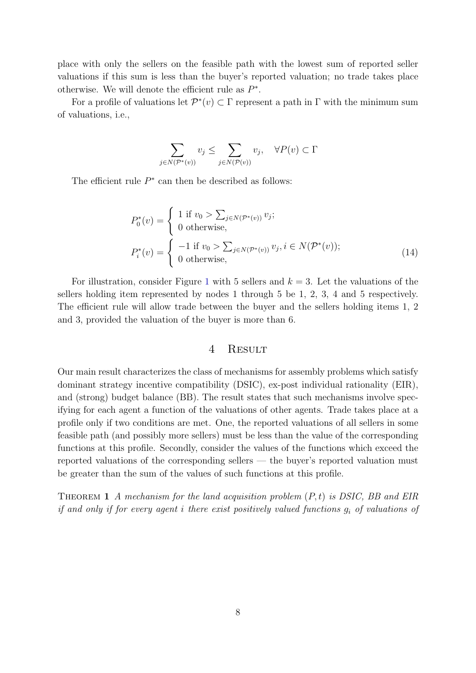place with only the sellers on the feasible path with the lowest sum of reported seller valuations if this sum is less than the buyer's reported valuation; no trade takes place otherwise. We will denote the efficient rule as  $P^*$ .

For a profile of valuations let  $\mathcal{P}^*(v) \subset \Gamma$  represent a path in  $\Gamma$  with the minimum sum of valuations, i.e.,

$$
\sum_{j \in N(\mathcal{P}^*(v))} v_j \le \sum_{j \in N(\mathcal{P}(v))} v_j, \quad \forall P(v) \subset \Gamma
$$

The efficient rule  $P^*$  can then be described as follows:

$$
P_0^*(v) = \begin{cases} 1 \text{ if } v_0 > \sum_{j \in N(\mathcal{P}^*(v))} v_j; \\ 0 \text{ otherwise,} \end{cases}
$$
  

$$
P_i^*(v) = \begin{cases} -1 \text{ if } v_0 > \sum_{j \in N(\mathcal{P}^*(v))} v_j, i \in N(\mathcal{P}^*(v)); \\ 0 \text{ otherwise,} \end{cases}
$$
(14)

For illustration, consider Figure [1](#page-4-0) with 5 sellers and  $k = 3$ . Let the valuations of the sellers holding item represented by nodes 1 through 5 be 1, 2, 3, 4 and 5 respectively. The efficient rule will allow trade between the buyer and the sellers holding items 1, 2 and 3, provided the valuation of the buyer is more than 6.

#### <span id="page-8-0"></span>4 Result

Our main result characterizes the class of mechanisms for assembly problems which satisfy dominant strategy incentive compatibility (DSIC), ex-post individual rationality (EIR), and (strong) budget balance (BB). The result states that such mechanisms involve specifying for each agent a function of the valuations of other agents. Trade takes place at a profile only if two conditions are met. One, the reported valuations of all sellers in some feasible path (and possibly more sellers) must be less than the value of the corresponding functions at this profile. Secondly, consider the values of the functions which exceed the reported valuations of the corresponding sellers — the buyer's reported valuation must be greater than the sum of the values of such functions at this profile.

THEOREM 1 A mechanism for the land acquisition problem  $(P, t)$  is DSIC, BB and EIR if and only if for every agent i there exist positively valued functions  $g_i$  of valuations of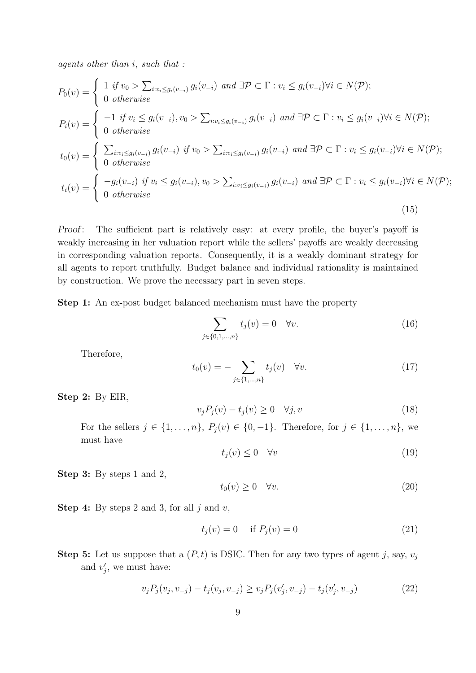agents other than i, such that :

$$
P_0(v) = \begin{cases} 1 & \text{if } v_0 > \sum_{i:v_i \le g_i(v_{-i})} g_i(v_{-i}) \text{ and } \exists \mathcal{P} \subset \Gamma : v_i \le g_i(v_{-i}) \forall i \in N(\mathcal{P});\\ 0 & \text{otherwise} \end{cases}
$$
  
\n
$$
P_i(v) = \begin{cases} -1 & \text{if } v_i \le g_i(v_{-i}), v_0 > \sum_{i:v_i \le g_i(v_{-i})} g_i(v_{-i}) \text{ and } \exists \mathcal{P} \subset \Gamma : v_i \le g_i(v_{-i}) \forall i \in N(\mathcal{P});\\ 0 & \text{otherwise} \end{cases}
$$
  
\n
$$
t_0(v) = \begin{cases} \sum_{i:v_i \le g_i(v_{-i})} g_i(v_{-i}) & \text{if } v_0 > \sum_{i:v_i \le g_i(v_{-i})} g_i(v_{-i}) \text{ and } \exists \mathcal{P} \subset \Gamma : v_i \le g_i(v_{-i}) \forall i \in N(\mathcal{P});\\ 0 & \text{otherwise} \end{cases}
$$
  
\n
$$
t_i(v) = \begin{cases} -g_i(v_{-i}) & \text{if } v_i \le g_i(v_{-i}), v_0 > \sum_{i:v_i \le g_i(v_{-i})} g_i(v_{-i}) \text{ and } \exists \mathcal{P} \subset \Gamma : v_i \le g_i(v_{-i}) \forall i \in N(\mathcal{P});\\ 0 & \text{otherwise} \end{cases}
$$
  
\n(15)

Proof: The sufficient part is relatively easy: at every profile, the buyer's payoff is weakly increasing in her valuation report while the sellers' payoffs are weakly decreasing in corresponding valuation reports. Consequently, it is a weakly dominant strategy for all agents to report truthfully. Budget balance and individual rationality is maintained by construction. We prove the necessary part in seven steps.

Step 1: An ex-post budget balanced mechanism must have the property

<span id="page-9-1"></span>
$$
\sum_{j \in \{0, 1, \dots, n\}} t_j(v) = 0 \quad \forall v.
$$
 (16)

Therefore,

$$
t_0(v) = -\sum_{j \in \{1, \dots, n\}} t_j(v) \quad \forall v.
$$
 (17)

Step 2: By EIR,

$$
v_j P_j(v) - t_j(v) \ge 0 \quad \forall j, v \tag{18}
$$

For the sellers  $j \in \{1, \ldots, n\}$ ,  $P_j(v) \in \{0, -1\}$ . Therefore, for  $j \in \{1, \ldots, n\}$ , we must have

$$
t_j(v) \le 0 \quad \forall v \tag{19}
$$

Step 3: By steps 1 and 2,

$$
t_0(v) \ge 0 \quad \forall v. \tag{20}
$$

**Step 4:** By steps 2 and 3, for all  $j$  and  $v$ ,

$$
t_j(v) = 0 \quad \text{if } P_j(v) = 0 \tag{21}
$$

**Step 5:** Let us suppose that a  $(P, t)$  is DSIC. Then for any two types of agent j, say,  $v_i$ and  $v'_j$ , we must have:

<span id="page-9-0"></span>
$$
v_j P_j(v_j, v_{-j}) - t_j(v_j, v_{-j}) \ge v_j P_j(v'_j, v_{-j}) - t_j(v'_j, v_{-j})
$$
\n(22)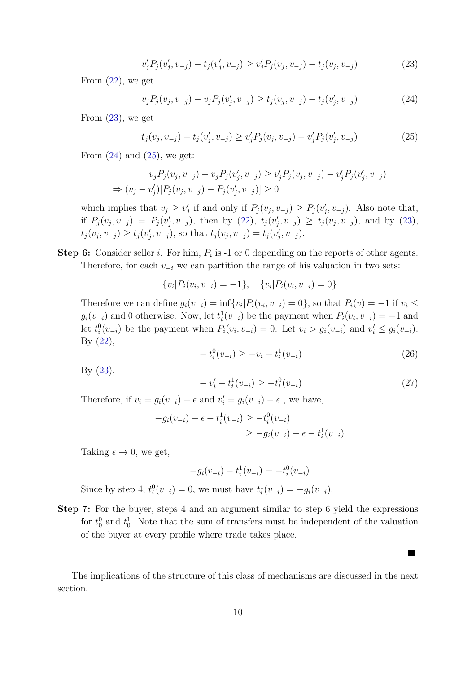<span id="page-10-0"></span>
$$
v'_{j}P_{j}(v'_{j}, v_{-j}) - t_{j}(v'_{j}, v_{-j}) \ge v'_{j}P_{j}(v_{j}, v_{-j}) - t_{j}(v_{j}, v_{-j})
$$
\n(23)

From  $(22)$ , we get

<span id="page-10-1"></span>
$$
v_j P_j(v_j, v_{-j}) - v_j P_j(v'_j, v_{-j}) \ge t_j(v_j, v_{-j}) - t_j(v'_j, v_{-j})
$$
\n(24)

From  $(23)$ , we get

<span id="page-10-2"></span>
$$
t_j(v_j, v_{-j}) - t_j(v'_j, v_{-j}) \ge v'_j P_j(v_j, v_{-j}) - v'_j P_j(v'_j, v_{-j})
$$
\n(25)

From  $(24)$  and  $(25)$ , we get:

$$
v_j P_j(v_j, v_{-j}) - v_j P_j(v'_j, v_{-j}) \ge v'_j P_j(v_j, v_{-j}) - v'_j P_j(v'_j, v_{-j})
$$
  
\n
$$
\Rightarrow (v_j - v'_j)[P_j(v_j, v_{-j}) - P_j(v'_j, v_{-j})] \ge 0
$$

which implies that  $v_j \geq v'_j$  if and only if  $P_j(v_j, v_{-j}) \geq P_j(v'_j, v_{-j})$ . Also note that, if  $P_j(v_j, v_{-j}) = P_j(v'_j, v_{-j})$ , then by [\(22\)](#page-9-0),  $t_j(v'_j, v_{-j}) \ge t_j(v_j, v_{-j})$ , and by [\(23\)](#page-10-0),  $t_j(v_j, v_{-j}) \ge t_j(v'_j, v_{-j}),$  so that  $t_j(v_j, v_{-j}) = t_j(v'_j, v_{-j}).$ 

**Step 6:** Consider seller *i*. For him,  $P_i$  is -1 or 0 depending on the reports of other agents. Therefore, for each  $v_{-i}$  we can partition the range of his valuation in two sets:

$$
\{v_i|P_i(v_i, v_{-i}) = -1\}, \quad \{v_i|P_i(v_i, v_{-i}) = 0\}
$$

Therefore we can define  $g_i(v_{-i}) = \inf \{v_i | P_i(v_i, v_{-i}) = 0\}$ , so that  $P_i(v) = -1$  if  $v_i \leq$  $g_i(v_{-i})$  and 0 otherwise. Now, let  $t_i^1(v_{-i})$  be the payment when  $P_i(v_i, v_{-i}) = -1$  and let  $t_i^0(v_{-i})$  be the payment when  $P_i(v_i, v_{-i}) = 0$ . Let  $v_i > g_i(v_{-i})$  and  $v'_i \leq g_i(v_{-i})$ . By  $(22)$ ,

$$
-t_i^0(v_{-i}) \ge -v_i - t_i^1(v_{-i})
$$
\n(26)

By [\(23\)](#page-10-0),

$$
-v'_{i} - t_{i}^{1}(v_{-i}) \ge -t_{i}^{0}(v_{-i})
$$
\n(27)

 $\blacksquare$ 

Therefore, if  $v_i = g_i(v_{-i}) + \epsilon$  and  $v'_i = g_i(v_{-i}) - \epsilon$ , we have,

$$
-g_i(v_{-i}) + \epsilon - t_i^1(v_{-i}) \ge -t_i^0(v_{-i})
$$
  

$$
\ge -g_i(v_{-i}) - \epsilon - t_i^1(v_{-i})
$$

Taking  $\epsilon \to 0$ , we get,

$$
-g_i(v_{-i}) - t_i^1(v_{-i}) = -t_i^0(v_{-i})
$$

Since by step 4,  $t_i^0(v_{-i}) = 0$ , we must have  $t_i^1(v_{-i}) = -g_i(v_{-i})$ .

Step 7: For the buyer, steps 4 and an argument similar to step 6 yield the expressions for  $t_0^0$  and  $t_0^1$ . Note that the sum of transfers must be independent of the valuation of the buyer at every profile where trade takes place.

The implications of the structure of this class of mechanisms are discussed in the next section.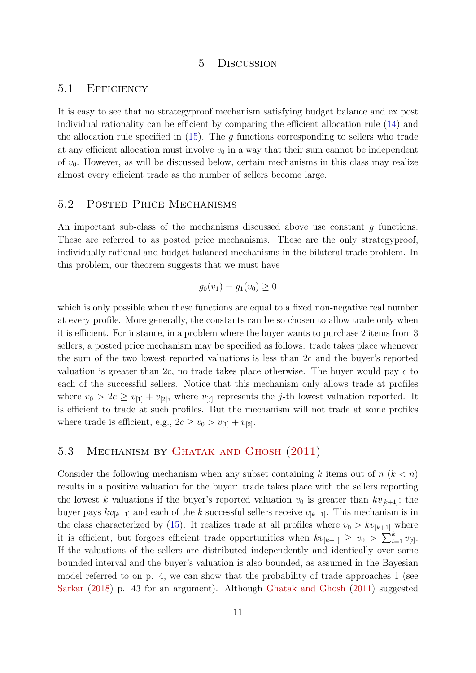#### 5 Discussion

#### 5.1 Efficiency

It is easy to see that no strategyproof mechanism satisfying budget balance and ex post individual rationality can be efficient by comparing the efficient allocation rule [\(14\)](#page-8-0) and the allocation rule specified in  $(15)$ . The g functions corresponding to sellers who trade at any efficient allocation must involve  $v_0$  in a way that their sum cannot be independent of  $v_0$ . However, as will be discussed below, certain mechanisms in this class may realize almost every efficient trade as the number of sellers become large.

#### 5.2 Posted Price Mechanisms

An important sub-class of the mechanisms discussed above use constant g functions. These are referred to as posted price mechanisms. These are the only strategyproof, individually rational and budget balanced mechanisms in the bilateral trade problem. In this problem, our theorem suggests that we must have

$$
g_0(v_1) = g_1(v_0) \ge 0
$$

which is only possible when these functions are equal to a fixed non-negative real number at every profile. More generally, the constants can be so chosen to allow trade only when it is efficient. For instance, in a problem where the buyer wants to purchase 2 items from 3 sellers, a posted price mechanism may be specified as follows: trade takes place whenever the sum of the two lowest reported valuations is less than 2c and the buyer's reported valuation is greater than 2c, no trade takes place otherwise. The buyer would pay  $c$  to each of the successful sellers. Notice that this mechanism only allows trade at profiles where  $v_0 > 2c \ge v_{11} + v_{21}$ , where  $v_{1i}$  represents the *j*-th lowest valuation reported. It is efficient to trade at such profiles. But the mechanism will not trade at some profiles where trade is efficient, e.g.,  $2c \ge v_0 > v_{11} + v_{21}$ .

### 5.3 Mechanism by [Ghatak and Ghosh](#page-13-8) [\(2011\)](#page-13-8)

Consider the following mechanism when any subset containing k items out of  $n (k < n)$ results in a positive valuation for the buyer: trade takes place with the sellers reporting the lowest k valuations if the buyer's reported valuation  $v_0$  is greater than  $kv_{[k+1]}$ ; the buyer pays  $kv_{[k+1]}$  and each of the k successful sellers receive  $v_{[k+1]}$ . This mechanism is in the class characterized by [\(15\)](#page-9-1). It realizes trade at all profiles where  $v_0 > kv_{[k+1]}$  where it is efficient, but forgoes efficient trade opportunities when  $kv_{[k+1]} \geq v_0 > \sum_{i=1}^k v_{[i]}$ . If the valuations of the sellers are distributed independently and identically over some bounded interval and the buyer's valuation is also bounded, as assumed in the Bayesian model referred to on p. 4, we can show that the probability of trade approaches 1 (see [Sarkar](#page-15-2) [\(2018\)](#page-15-2) p. 43 for an argument). Although [Ghatak and Ghosh](#page-13-8) [\(2011\)](#page-13-8) suggested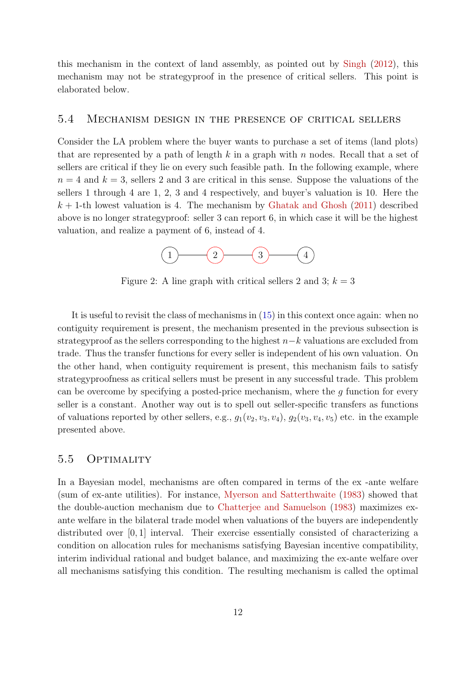this mechanism in the context of land assembly, as pointed out by [Singh](#page-15-13) [\(2012\)](#page-15-13), this mechanism may not be strategyproof in the presence of critical sellers. This point is elaborated below.

#### 5.4 Mechanism design in the presence of critical sellers

Consider the LA problem where the buyer wants to purchase a set of items (land plots) that are represented by a path of length  $k$  in a graph with  $n$  nodes. Recall that a set of sellers are critical if they lie on every such feasible path. In the following example, where  $n = 4$  and  $k = 3$ , sellers 2 and 3 are critical in this sense. Suppose the valuations of the sellers 1 through 4 are 1, 2, 3 and 4 respectively, and buyer's valuation is 10. Here the  $k + 1$ -th lowest valuation is 4. The mechanism by [Ghatak and Ghosh](#page-13-8) [\(2011\)](#page-13-8) described above is no longer strategyproof: seller 3 can report 6, in which case it will be the highest valuation, and realize a payment of 6, instead of 4.



Figure 2: A line graph with critical sellers 2 and 3;  $k = 3$ 

It is useful to revisit the class of mechanisms in [\(15\)](#page-9-1) in this context once again: when no contiguity requirement is present, the mechanism presented in the previous subsection is strategyproof as the sellers corresponding to the highest  $n-k$  valuations are excluded from trade. Thus the transfer functions for every seller is independent of his own valuation. On the other hand, when contiguity requirement is present, this mechanism fails to satisfy strategyproofness as critical sellers must be present in any successful trade. This problem can be overcome by specifying a posted-price mechanism, where the g function for every seller is a constant. Another way out is to spell out seller-specific transfers as functions of valuations reported by other sellers, e.g.,  $q_1(v_2, v_3, v_4)$ ,  $q_2(v_3, v_4, v_5)$  etc. in the example presented above.

### 5.5 Optimality

In a Bayesian model, mechanisms are often compared in terms of the ex -ante welfare (sum of ex-ante utilities). For instance, [Myerson and Satterthwaite](#page-14-1) [\(1983\)](#page-14-1) showed that the double-auction mechanism due to [Chatterjee and Samuelson](#page-13-9) [\(1983\)](#page-13-9) maximizes exante welfare in the bilateral trade model when valuations of the buyers are independently distributed over [0, 1] interval. Their exercise essentially consisted of characterizing a condition on allocation rules for mechanisms satisfying Bayesian incentive compatibility, interim individual rational and budget balance, and maximizing the ex-ante welfare over all mechanisms satisfying this condition. The resulting mechanism is called the optimal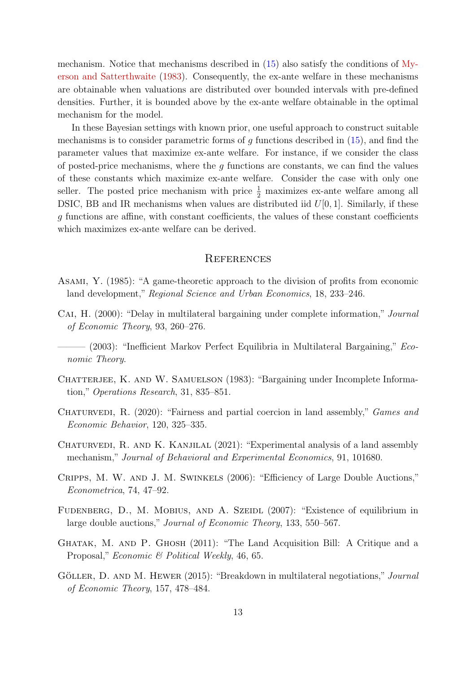mechanism. Notice that mechanisms described in [\(15\)](#page-9-1) also satisfy the conditions of [My](#page-14-1)[erson and Satterthwaite](#page-14-1) [\(1983\)](#page-14-1). Consequently, the ex-ante welfare in these mechanisms are obtainable when valuations are distributed over bounded intervals with pre-defined densities. Further, it is bounded above by the ex-ante welfare obtainable in the optimal mechanism for the model.

In these Bayesian settings with known prior, one useful approach to construct suitable mechanisms is to consider parametric forms of  $q$  functions described in  $(15)$ , and find the parameter values that maximize ex-ante welfare. For instance, if we consider the class of posted-price mechanisms, where the  $g$  functions are constants, we can find the values of these constants which maximize ex-ante welfare. Consider the case with only one seller. The posted price mechanism with price  $\frac{1}{2}$  maximizes ex-ante welfare among all DSIC, BB and IR mechanisms when values are distributed iid  $U[0, 1]$ . Similarly, if these g functions are affine, with constant coefficients, the values of these constant coefficients which maximizes ex-ante welfare can be derived.

#### **REFERENCES**

- <span id="page-13-0"></span>Asami, Y. (1985): "A game-theoretic approach to the division of profits from economic land development," Regional Science and Urban Economics, 18, 233–246.
- <span id="page-13-1"></span>Cai, H. (2000): "Delay in multilateral bargaining under complete information," Journal of Economic Theory, 93, 260–276.
- <span id="page-13-2"></span> $\sim$  (2003): "Inefficient Markov Perfect Equilibria in Multilateral Bargaining," *Eco*nomic Theory.
- <span id="page-13-9"></span>CHATTERJEE, K. AND W. SAMUELSON (1983): "Bargaining under Incomplete Information," Operations Research, 31, 835–851.
- <span id="page-13-6"></span>Chaturvedi, R. (2020): "Fairness and partial coercion in land assembly," Games and Economic Behavior, 120, 325–335.
- <span id="page-13-7"></span>Chaturvedi, R. and K. Kanjilal (2021): "Experimental analysis of a land assembly mechanism," Journal of Behavioral and Experimental Economics, 91, 101680.
- <span id="page-13-4"></span>Cripps, M. W. and J. M. Swinkels (2006): "Efficiency of Large Double Auctions," Econometrica, 74, 47–92.
- <span id="page-13-5"></span>FUDENBERG, D., M. MOBIUS, AND A. SZEIDL (2007): "Existence of equilibrium in large double auctions," Journal of Economic Theory, 133, 550–567.
- <span id="page-13-8"></span>Ghatak, M. and P. Ghosh (2011): "The Land Acquisition Bill: A Critique and a Proposal," Economic & Political Weekly, 46, 65.
- <span id="page-13-3"></span>GÖLLER, D. AND M. HEWER (2015): "Breakdown in multilateral negotiations," Journal of Economic Theory, 157, 478–484.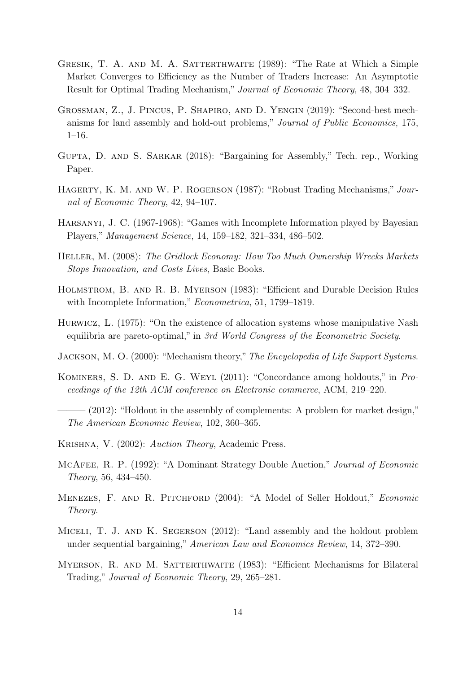- <span id="page-14-8"></span>Gresik, T. A. and M. A. Satterthwaite (1989): "The Rate at Which a Simple Market Converges to Efficiency as the Number of Traders Increase: An Asymptotic Result for Optimal Trading Mechanism," Journal of Economic Theory, 48, 304–332.
- <span id="page-14-11"></span>Grossman, Z., J. Pincus, P. Shapiro, and D. Yengin (2019): "Second-best mechanisms for land assembly and hold-out problems," Journal of Public Economics, 175, 1–16.
- <span id="page-14-13"></span>Gupta, D. and S. Sarkar (2018): "Bargaining for Assembly," Tech. rep., Working Paper.
- <span id="page-14-6"></span>HAGERTY, K. M. AND W. P. ROGERSON (1987): "Robust Trading Mechanisms," Journal of Economic Theory, 42, 94–107.
- <span id="page-14-15"></span>Harsanyi, J. C. (1967-1968): "Games with Incomplete Information played by Bayesian Players," Management Science, 14, 159–182, 321–334, 486–502.
- <span id="page-14-0"></span>Heller, M. (2008): The Gridlock Economy: How Too Much Ownership Wrecks Markets Stops Innovation, and Costs Lives, Basic Books.
- <span id="page-14-14"></span>Holmstrom, B. and R. B. Myerson (1983): "Efficient and Durable Decision Rules with Incomplete Information," *Econometrica*, 51, 1799–1819.
- <span id="page-14-5"></span>Hurwicz, L. (1975): "On the existence of allocation systems whose manipulative Nash equilibria are pareto-optimal," in 3rd World Congress of the Econometric Society.
- <span id="page-14-9"></span>JACKSON, M. O. (2000): "Mechanism theory," The Encyclopedia of Life Support Systems.
- <span id="page-14-10"></span>Kominers, S. D. and E. G. Weyl (2011): "Concordance among holdouts," in Proceedings of the 12th ACM conference on Electronic commerce, ACM, 219–220.
- <span id="page-14-12"></span>- (2012): "Holdout in the assembly of complements: A problem for market design," The American Economic Review, 102, 360–365.
- <span id="page-14-4"></span>Krishna, V. (2002): Auction Theory, Academic Press.
- <span id="page-14-7"></span>McAfee, R. P. (1992): "A Dominant Strategy Double Auction," Journal of Economic Theory, 56, 434–450.
- <span id="page-14-2"></span>Menezes, F. and R. Pitchford (2004): "A Model of Seller Holdout," Economic Theory.
- <span id="page-14-3"></span>Miceli, T. J. and K. Segerson (2012): "Land assembly and the holdout problem under sequential bargaining," American Law and Economics Review, 14, 372–390.
- <span id="page-14-1"></span>MYERSON, R. AND M. SATTERTHWAITE (1983): "Efficient Mechanisms for Bilateral Trading," Journal of Economic Theory, 29, 265–281.